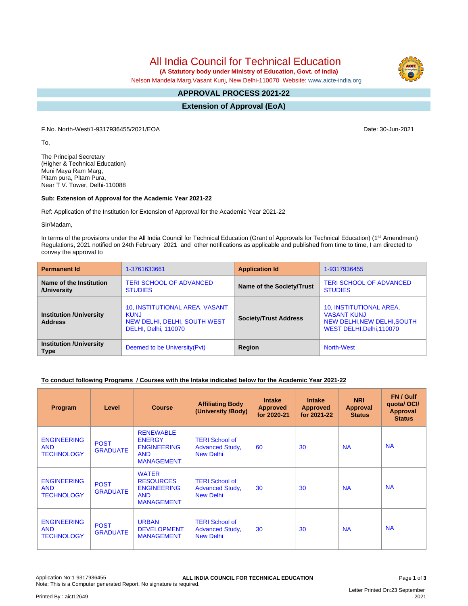All India Council for Technical Education

 **(A Statutory body under Ministry of Education, Govt. of India)**

Nelson Mandela Marg,Vasant Kunj, New Delhi-110070 Website: [www.aicte-india.org](http://www.aicte-india.org)

#### **APPROVAL PROCESS 2021-22 -**

**Extension of Approval (EoA)**

F.No. North-West/1-9317936455/2021/EOA Date: 30-Jun-2021

To,

The Principal Secretary (Higher & Technical Education) Muni Maya Ram Marg, Pitam pura, Pitam Pura, Near T V. Tower, Delhi-110088

## **Sub: Extension of Approval for the Academic Year 2021-22**

Ref: Application of the Institution for Extension of Approval for the Academic Year 2021-22

Sir/Madam,

In terms of the provisions under the All India Council for Technical Education (Grant of Approvals for Technical Education) (1<sup>st</sup> Amendment) Regulations, 2021 notified on 24th February 2021 and other notifications as applicable and published from time to time, I am directed to convey the approval to

| <b>Permanent Id</b>                              | 1-3761633661                                                                                          | <b>Application Id</b>        | 1-9317936455                                                                                              |
|--------------------------------------------------|-------------------------------------------------------------------------------------------------------|------------------------------|-----------------------------------------------------------------------------------------------------------|
| Name of the Institution<br>/University           | <b>TERI SCHOOL OF ADVANCED</b><br><b>STUDIES</b>                                                      | Name of the Society/Trust    | <b>TERI SCHOOL OF ADVANCED</b><br><b>STUDIES</b>                                                          |
| <b>Institution /University</b><br><b>Address</b> | 10, INSTITUTIONAL AREA, VASANT<br><b>KUNJ</b><br>NEW DELHI, DELHI, SOUTH WEST<br>DELHI, Delhi, 110070 | <b>Society/Trust Address</b> | 10, INSTITUTIONAL AREA,<br><b>VASANT KUNJ</b><br>NEW DELHI, NEW DELHI, SOUTH<br>WEST DELHI, Delhi, 110070 |
| <b>Institution /University</b><br><b>Type</b>    | Deemed to be University (Pvt)                                                                         | Region                       | <b>North-West</b>                                                                                         |

# **To conduct following Programs / Courses with the Intake indicated below for the Academic Year 2021-22**

| Program                                               | Level                          | <b>Course</b>                                                                              | <b>Affiliating Body</b><br>(University /Body)                       | <b>Intake</b><br><b>Approved</b><br>for 2020-21 | <b>Intake</b><br><b>Approved</b><br>for 2021-22 | <b>NRI</b><br>Approval<br><b>Status</b> | FN / Gulf<br>quotal OCI/<br><b>Approval</b><br><b>Status</b> |
|-------------------------------------------------------|--------------------------------|--------------------------------------------------------------------------------------------|---------------------------------------------------------------------|-------------------------------------------------|-------------------------------------------------|-----------------------------------------|--------------------------------------------------------------|
| <b>ENGINEERING</b><br><b>AND</b><br><b>TECHNOLOGY</b> | <b>POST</b><br><b>GRADUATE</b> | <b>RENEWABLE</b><br><b>ENERGY</b><br><b>ENGINEERING</b><br><b>AND</b><br><b>MANAGEMENT</b> | <b>TERI School of</b><br><b>Advanced Study,</b><br><b>New Delhi</b> | 60                                              | 30                                              | <b>NA</b>                               | <b>NA</b>                                                    |
| <b>ENGINEERING</b><br><b>AND</b><br><b>TECHNOLOGY</b> | <b>POST</b><br><b>GRADUATE</b> | <b>WATER</b><br><b>RESOURCES</b><br><b>ENGINEERING</b><br><b>AND</b><br><b>MANAGEMENT</b>  | <b>TERI School of</b><br><b>Advanced Study,</b><br><b>New Delhi</b> | 30                                              | 30                                              | <b>NA</b>                               | <b>NA</b>                                                    |
| <b>ENGINEERING</b><br><b>AND</b><br><b>TECHNOLOGY</b> | <b>POST</b><br><b>GRADUATE</b> | <b>URBAN</b><br><b>DEVELOPMENT</b><br><b>MANAGEMENT</b>                                    | <b>TERI School of</b><br><b>Advanced Study,</b><br><b>New Delhi</b> | 30                                              | 30                                              | <b>NA</b>                               | <b>NA</b>                                                    |

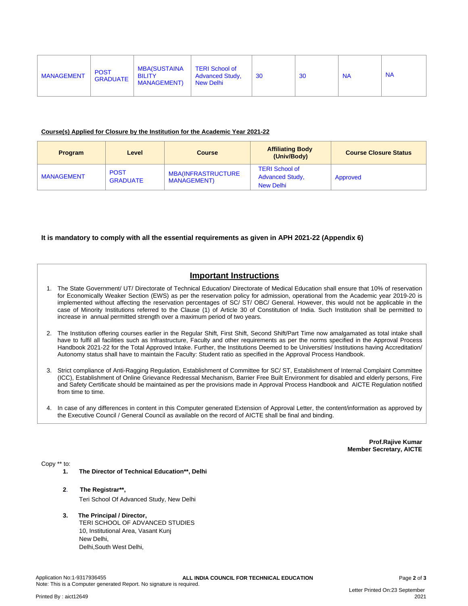| <b>MANAGEMENT</b> | <b>POST</b><br><b>GRADUATE</b> | <b>MBA(SUSTAINA</b><br><b>BILITY</b><br><b>MANAGEMENT)</b> | <b>TERI School of</b><br><b>Advanced Study,</b><br>New Delhi | 30 | 30 | <b>NA</b> | <b>NA</b> |
|-------------------|--------------------------------|------------------------------------------------------------|--------------------------------------------------------------|----|----|-----------|-----------|
|                   |                                |                                                            |                                                              |    |    |           |           |

#### **Course(s) Applied for Closure by the Institution for the Academic Year 2021-22**

| <b>Program</b>    | Level                          | <b>Course</b>                                    | <b>Affiliating Body</b><br>(Univ/Body)                       | <b>Course Closure Status</b> |
|-------------------|--------------------------------|--------------------------------------------------|--------------------------------------------------------------|------------------------------|
| <b>MANAGEMENT</b> | <b>POST</b><br><b>GRADUATE</b> | <b>MBA(INFRASTRUCTURE</b><br><b>MANAGEMENT</b> ) | <b>TERI School of</b><br><b>Advanced Study,</b><br>New Delhi | Approved                     |

#### **It is mandatory to comply with all the essential requirements as given in APH 2021-22 (Appendix 6)**

# **Important Instructions**

- 1. The State Government/ UT/ Directorate of Technical Education/ Directorate of Medical Education shall ensure that 10% of reservation for Economically Weaker Section (EWS) as per the reservation policy for admission, operational from the Academic year 2019-20 is implemented without affecting the reservation percentages of SC/ ST/ OBC/ General. However, this would not be applicable in the case of Minority Institutions referred to the Clause (1) of Article 30 of Constitution of India. Such Institution shall be permitted to increase in annual permitted strength over a maximum period of two years.
- 2. The Institution offering courses earlier in the Regular Shift, First Shift, Second Shift/Part Time now amalgamated as total intake shall have to fulfil all facilities such as Infrastructure, Faculty and other requirements as per the norms specified in the Approval Process Handbook 2021-22 for the Total Approved Intake. Further, the Institutions Deemed to be Universities/ Institutions having Accreditation/ Autonomy status shall have to maintain the Faculty: Student ratio as specified in the Approval Process Handbook.
- 3. Strict compliance of Anti-Ragging Regulation, Establishment of Committee for SC/ ST, Establishment of Internal Complaint Committee (ICC), Establishment of Online Grievance Redressal Mechanism, Barrier Free Built Environment for disabled and elderly persons, Fire and Safety Certificate should be maintained as per the provisions made in Approval Process Handbook and AICTE Regulation notified from time to time.
- 4. In case of any differences in content in this Computer generated Extension of Approval Letter, the content/information as approved by the Executive Council / General Council as available on the record of AICTE shall be final and binding.

**Prof.Rajive Kumar Member Secretary, AICTE**

Copy \*\* to:

- **1. The Director of Technical Education\*\*, Delhi**
- **2**. **The Registrar\*\*,** Teri School Of Advanced Study, New Delhi
- **3. The Principal / Director,** TERI SCHOOL OF ADVANCED STUDIES 10, Institutional Area, Vasant Kunj New Delhi, Delhi,South West Delhi,